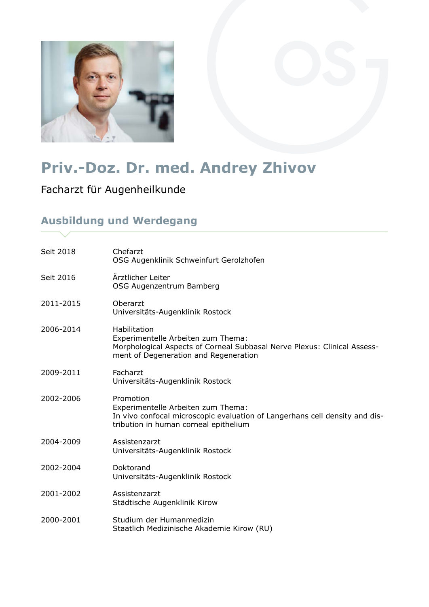

# **Priv.-Doz. Dr. med. Andrey Zhivov**

Facharzt für Augenheilkunde

### **Ausbildung und Werdegang**

| Morphological Aspects of Corneal Subbasal Nerve Plexus: Clinical Assess-    |
|-----------------------------------------------------------------------------|
|                                                                             |
| In vivo confocal microscopic evaluation of Langerhans cell density and dis- |
|                                                                             |
|                                                                             |
|                                                                             |
|                                                                             |
|                                                                             |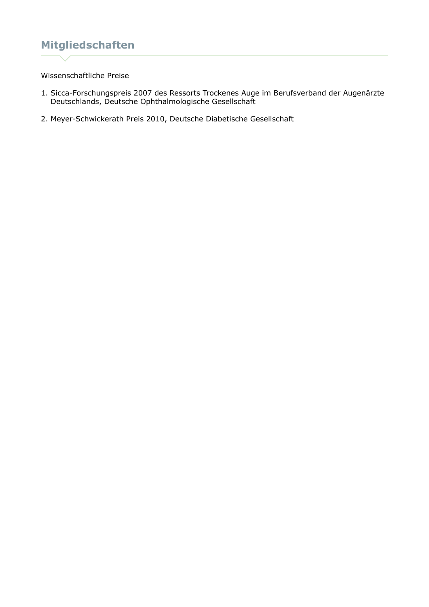## **Mitgliedschaften**

#### Wissenschaftliche Preise

- 1. Sicca-Forschungspreis 2007 des Ressorts Trockenes Auge im Berufsverband der Augenärzte Deutschlands, Deutsche Ophthalmologische Gesellschaft
- 2. Meyer-Schwickerath Preis 2010, Deutsche Diabetische Gesellschaft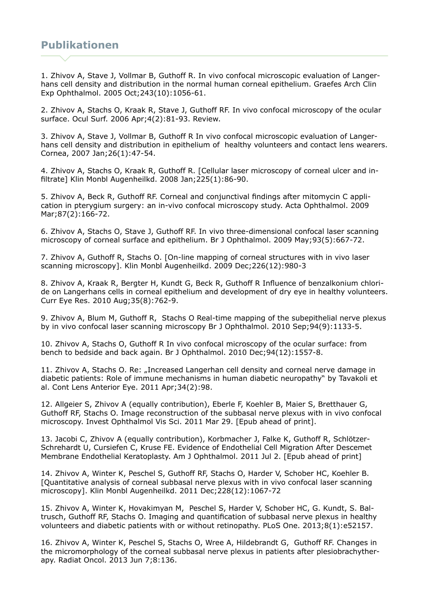#### **Publikationen**

1. Zhivov A, Stave J, Vollmar B, Guthoff R. In vivo confocal microscopic evaluation of Langerhans cell density and distribution in the normal human corneal epithelium. Graefes Arch Clin Exp Ophthalmol. 2005 Oct;243(10):1056-61.

2. Zhivov A, Stachs O, Kraak R, Stave J, Guthoff RF. In vivo confocal microscopy of the ocular surface. Ocul Surf. 2006 Apr;4(2):81-93. Review.

3. Zhivov A, Stave J, Vollmar B, Guthoff R In vivo confocal microscopic evaluation of Langerhans cell density and distribution in epithelium of healthy volunteers and contact lens wearers. Cornea, 2007 Jan;26(1):47-54.

4. Zhivov A, Stachs O, Kraak R, Guthoff R. [Cellular laser microscopy of corneal ulcer and infiltrate] Klin Monbl Augenheilkd. 2008 Jan;225(1):86-90.

5. Zhivov A, Beck R, Guthoff RF. Corneal and conjunctival findings after mitomycin C application in pterygium surgery: an in-vivo confocal microscopy study. Acta Ophthalmol. 2009 Mar;87(2):166-72.

6. Zhivov A, Stachs O, Stave J, Guthoff RF. In vivo three-dimensional confocal laser scanning microscopy of corneal surface and epithelium. Br J Ophthalmol. 2009 May;93(5):667-72.

7. Zhivov A, Guthoff R, Stachs O. [On-line mapping of corneal structures with in vivo laser scanning microscopy]. Klin Monbl Augenheilkd. 2009 Dec;226(12):980-3

8. Zhivov A, Kraak R, Bergter H, Kundt G, Beck R, Guthoff R Influence of benzalkonium chloride on Langerhans cells in corneal epithelium and development of dry eye in healthy volunteers. Curr Eye Res. 2010 Aug;35(8):762-9.

9. Zhivov A, Blum M, Guthoff R, Stachs O Real-time mapping of the subepithelial nerve plexus by in vivo confocal laser scanning microscopy Br J Ophthalmol. 2010 Sep;94(9):1133-5.

10. Zhivov A, Stachs O, Guthoff R In vivo confocal microscopy of the ocular surface: from bench to bedside and back again. Br J Ophthalmol. 2010 Dec;94(12):1557-8.

11. Zhivov A, Stachs O. Re: "Increased Langerhan cell density and corneal nerve damage in diabetic patients: Role of immune mechanisms in human diabetic neuropathy" by Tavakoli et al. Cont Lens Anterior Eye. 2011 Apr;34(2):98.

12. Allgeier S, Zhivov A (equally contribution), Eberle F, Koehler B, Maier S, Bretthauer G, Guthoff RF, Stachs O. Image reconstruction of the subbasal nerve plexus with in vivo confocal microscopy. Invest Ophthalmol Vis Sci. 2011 Mar 29. [Epub ahead of print].

13. Jacobi C, Zhivov A (equally contribution), Korbmacher J, Falke K, Guthoff R, Schlötzer-Schrehardt U, Cursiefen C, Kruse FE. Evidence of Endothelial Cell Migration After Descemet Membrane Endothelial Keratoplasty. Am J Ophthalmol. 2011 Jul 2. [Epub ahead of print]

14. Zhivov A, Winter K, Peschel S, Guthoff RF, Stachs O, Harder V, Schober HC, Koehler B. [Quantitative analysis of corneal subbasal nerve plexus with in vivo confocal laser scanning microscopy]. Klin Monbl Augenheilkd. 2011 Dec;228(12):1067-72

15. Zhivov A, Winter K, Hovakimyan M, Peschel S, Harder V, Schober HC, G. Kundt, S. Baltrusch, Guthoff RF, Stachs O. Imaging and quantification of subbasal nerve plexus in healthy volunteers and diabetic patients with or without retinopathy. PLoS One. 2013;8(1):e52157.

16. Zhivov A, Winter K, Peschel S, Stachs O, Wree A, Hildebrandt G, Guthoff RF. Changes in the micromorphology of the corneal subbasal nerve plexus in patients after plesiobrachytherapy. Radiat Oncol. 2013 Jun 7;8:136.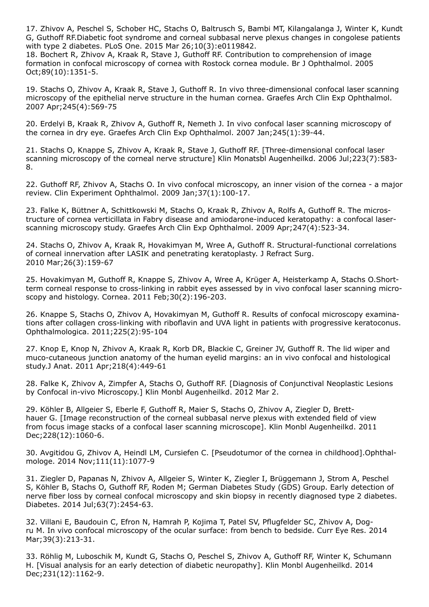17. Zhivov A, Peschel S, Schober HC, Stachs O, Baltrusch S, Bambi MT, Kilangalanga J, Winter K, Kundt G, Guthoff RF.Diabetic foot syndrome and corneal subbasal nerve plexus changes in congolese patients with type 2 diabetes. PLoS One. 2015 Mar 26;10(3):e0119842.

18. Bochert R, Zhivov A, Kraak R, Stave J, Guthoff RF. Contribution to comprehension of image formation in confocal microscopy of cornea with Rostock cornea module. Br J Ophthalmol. 2005 Oct;89(10):1351-5.

19. Stachs O, Zhivov A, Kraak R, Stave J, Guthoff R. In vivo three-dimensional confocal laser scanning microscopy of the epithelial nerve structure in the human cornea. Graefes Arch Clin Exp Ophthalmol. 2007 Apr;245(4):569-75

20. Erdelyi B, Kraak R, Zhivov A, Guthoff R, Nemeth J. In vivo confocal laser scanning microscopy of the cornea in dry eye. Graefes Arch Clin Exp Ophthalmol. 2007 Jan;245(1):39-44.

21. Stachs O, Knappe S, Zhivov A, Kraak R, Stave J, Guthoff RF. [Three-dimensional confocal laser scanning microscopy of the corneal nerve structure] Klin Monatsbl Augenheilkd. 2006 Jul;223(7):583- 8.

22. Guthoff RF, Zhivov A, Stachs O. In vivo confocal microscopy, an inner vision of the cornea - a major review. Clin Experiment Ophthalmol. 2009 Jan;37(1):100-17.

23. Falke K, Büttner A, Schittkowski M, Stachs O, Kraak R, Zhivov A, Rolfs A, Guthoff R. The microstructure of cornea verticillata in Fabry disease and amiodarone-induced keratopathy: a confocal laserscanning microscopy study. Graefes Arch Clin Exp Ophthalmol. 2009 Apr;247(4):523-34.

24. Stachs O, Zhivov A, Kraak R, Hovakimyan M, Wree A, Guthoff R. Structural-functional correlations of corneal innervation after LASIK and penetrating keratoplasty. J Refract Surg. 2010 Mar;26(3):159-67

25. Hovakimyan M, Guthoff R, Knappe S, Zhivov A, Wree A, Krüger A, Heisterkamp A, Stachs O.Shortterm corneal response to cross-linking in rabbit eyes assessed by in vivo confocal laser scanning microscopy and histology. Cornea. 2011 Feb;30(2):196-203.

26. Knappe S, Stachs O, Zhivov A, Hovakimyan M, Guthoff R. Results of confocal microscopy examinations after collagen cross-linking with riboflavin and UVA light in patients with progressive keratoconus. Ophthalmologica. 2011;225(2):95-104

27. Knop E, Knop N, Zhivov A, Kraak R, Korb DR, Blackie C, Greiner JV, Guthoff R. The lid wiper and muco-cutaneous junction anatomy of the human eyelid margins: an in vivo confocal and histological study.J Anat. 2011 Apr;218(4):449-61

28. Falke K, Zhivov A, Zimpfer A, Stachs O, Guthoff RF. [Diagnosis of Conjunctival Neoplastic Lesions by Confocal in-vivo Microscopy.] Klin Monbl Augenheilkd. 2012 Mar 2.

29. Köhler B, Allgeier S, Eberle F, Guthoff R, Maier S, Stachs O, Zhivov A, Ziegler D, Bretthauer G. [Image reconstruction of the corneal subbasal nerve plexus with extended field of view from focus image stacks of a confocal laser scanning microscope]. Klin Monbl Augenheilkd. 2011 Dec;228(12):1060-6.

30. Avgitidou G, Zhivov A, Heindl LM, Cursiefen C. [Pseudotumor of the cornea in childhood].Ophthalmologe. 2014 Nov;111(11):1077-9

31. Ziegler D, Papanas N, Zhivov A, Allgeier S, Winter K, Ziegler I, Brüggemann J, Strom A, Peschel S, Köhler B, Stachs O, Guthoff RF, Roden M; German Diabetes Study (GDS) Group. Early detection of nerve fiber loss by corneal confocal microscopy and skin biopsy in recently diagnosed type 2 diabetes. Diabetes. 2014 Jul;63(7):2454-63.

32. Villani E, Baudouin C, Efron N, Hamrah P, Kojima T, Patel SV, Pflugfelder SC, Zhivov A, Dogru M. In vivo confocal microscopy of the ocular surface: from bench to bedside. Curr Eye Res. 2014 Mar;39(3):213-31.

33. Röhlig M, Luboschik M, Kundt G, Stachs O, Peschel S, Zhivov A, Guthoff RF, Winter K, Schumann H. [Visual analysis for an early detection of diabetic neuropathy]. Klin Monbl Augenheilkd. 2014 Dec;231(12):1162-9.